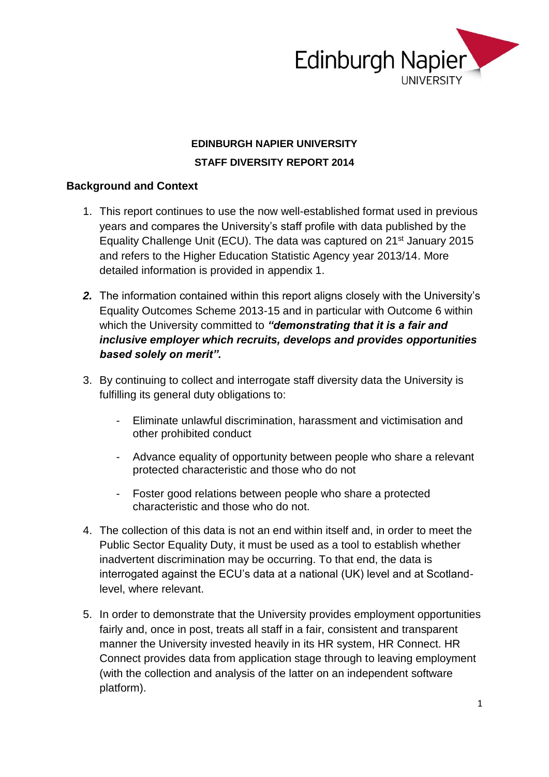

### **EDINBURGH NAPIER UNIVERSITY STAFF DIVERSITY REPORT 2014**

#### **Background and Context**

- 1. This report continues to use the now well-established format used in previous years and compares the University's staff profile with data published by the Equality Challenge Unit (ECU). The data was captured on 21st January 2015 and refers to the Higher Education Statistic Agency year 2013/14. More detailed information is provided in appendix 1.
- *2.* The information contained within this report aligns closely with the University's Equality Outcomes Scheme 2013-15 and in particular with Outcome 6 within which the University committed to *"demonstrating that it is a fair and inclusive employer which recruits, develops and provides opportunities based solely on merit".*
- 3. By continuing to collect and interrogate staff diversity data the University is fulfilling its general duty obligations to:
	- Eliminate unlawful discrimination, harassment and victimisation and other prohibited conduct
	- Advance equality of opportunity between people who share a relevant protected characteristic and those who do not
	- Foster good relations between people who share a protected characteristic and those who do not.
- 4. The collection of this data is not an end within itself and, in order to meet the Public Sector Equality Duty, it must be used as a tool to establish whether inadvertent discrimination may be occurring. To that end, the data is interrogated against the ECU's data at a national (UK) level and at Scotlandlevel, where relevant.
- 5. In order to demonstrate that the University provides employment opportunities fairly and, once in post, treats all staff in a fair, consistent and transparent manner the University invested heavily in its HR system, HR Connect. HR Connect provides data from application stage through to leaving employment (with the collection and analysis of the latter on an independent software platform).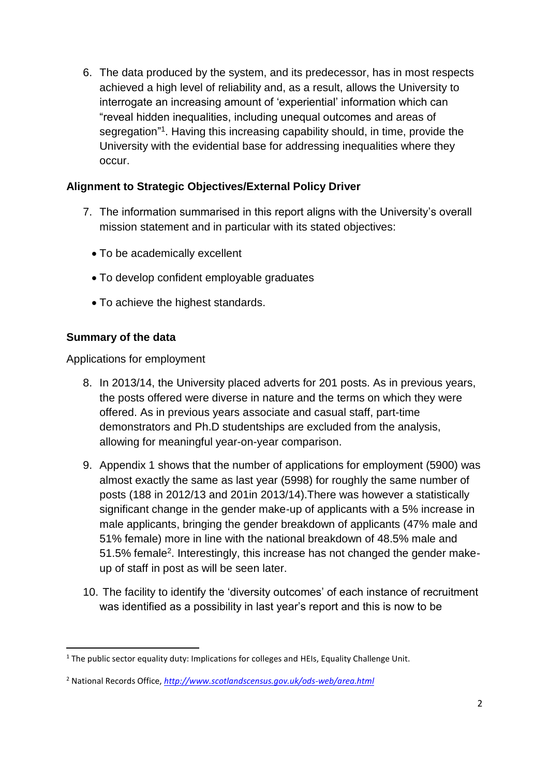6. The data produced by the system, and its predecessor, has in most respects achieved a high level of reliability and, as a result, allows the University to interrogate an increasing amount of 'experiential' information which can "reveal hidden inequalities, including unequal outcomes and areas of segregation"<sup>1</sup>. Having this increasing capability should, in time, provide the University with the evidential base for addressing inequalities where they occur.

### **Alignment to Strategic Objectives/External Policy Driver**

- 7. The information summarised in this report aligns with the University's overall mission statement and in particular with its stated objectives:
	- To be academically excellent
	- To develop confident employable graduates
	- To achieve the highest standards.

### **Summary of the data**

**.** 

Applications for employment

- 8. In 2013/14, the University placed adverts for 201 posts. As in previous years, the posts offered were diverse in nature and the terms on which they were offered. As in previous years associate and casual staff, part-time demonstrators and Ph.D studentships are excluded from the analysis, allowing for meaningful year-on-year comparison.
- 9. Appendix 1 shows that the number of applications for employment (5900) was almost exactly the same as last year (5998) for roughly the same number of posts (188 in 2012/13 and 201in 2013/14).There was however a statistically significant change in the gender make-up of applicants with a 5% increase in male applicants, bringing the gender breakdown of applicants (47% male and 51% female) more in line with the national breakdown of 48.5% male and 51.5% female<sup>2</sup>. Interestingly, this increase has not changed the gender makeup of staff in post as will be seen later.
- 10. The facility to identify the 'diversity outcomes' of each instance of recruitment was identified as a possibility in last year's report and this is now to be

<sup>&</sup>lt;sup>1</sup> The public sector equality duty: Implications for colleges and HEIs, Equality Challenge Unit.

<sup>2</sup> National Records Office, *<http://www.scotlandscensus.gov.uk/ods-web/area.html>*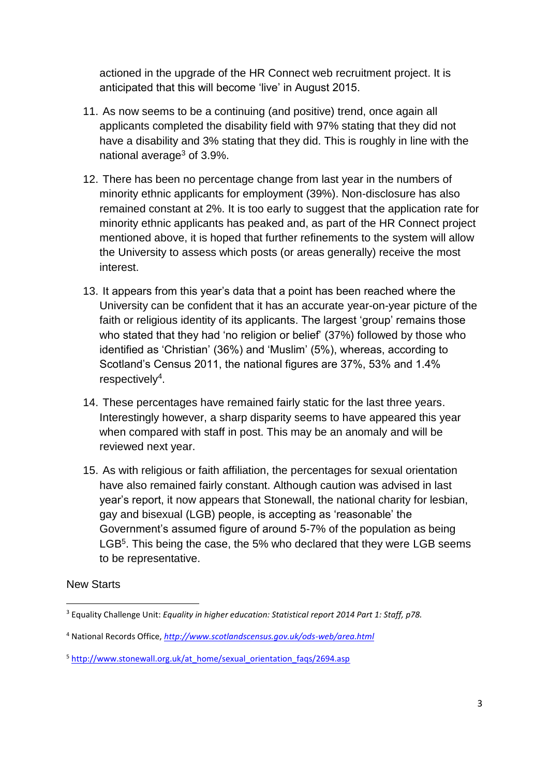actioned in the upgrade of the HR Connect web recruitment project. It is anticipated that this will become 'live' in August 2015.

- 11. As now seems to be a continuing (and positive) trend, once again all applicants completed the disability field with 97% stating that they did not have a disability and 3% stating that they did. This is roughly in line with the national average<sup>3</sup> of 3.9%.
- 12. There has been no percentage change from last year in the numbers of minority ethnic applicants for employment (39%). Non-disclosure has also remained constant at 2%. It is too early to suggest that the application rate for minority ethnic applicants has peaked and, as part of the HR Connect project mentioned above, it is hoped that further refinements to the system will allow the University to assess which posts (or areas generally) receive the most interest.
- 13. It appears from this year's data that a point has been reached where the University can be confident that it has an accurate year-on-year picture of the faith or religious identity of its applicants. The largest 'group' remains those who stated that they had 'no religion or belief' (37%) followed by those who identified as 'Christian' (36%) and 'Muslim' (5%), whereas, according to Scotland's Census 2011, the national figures are 37%, 53% and 1.4%  $respectively<sup>4</sup>.$
- 14. These percentages have remained fairly static for the last three years. Interestingly however, a sharp disparity seems to have appeared this year when compared with staff in post. This may be an anomaly and will be reviewed next year.
- 15. As with religious or faith affiliation, the percentages for sexual orientation have also remained fairly constant. Although caution was advised in last year's report, it now appears that Stonewall, the national charity for lesbian, gay and bisexual (LGB) people, is accepting as 'reasonable' the Government's assumed figure of around 5-7% of the population as being LGB<sup>5</sup>. This being the case, the 5% who declared that they were LGB seems to be representative.

#### New Starts

 $\overline{a}$ <sup>3</sup> Equality Challenge Unit: *Equality in higher education: Statistical report 2014 Part 1: Staff, p78.*

<sup>4</sup> National Records Office, *<http://www.scotlandscensus.gov.uk/ods-web/area.html>*

<sup>5</sup> [http://www.stonewall.org.uk/at\\_home/sexual\\_orientation\\_faqs/2694.asp](http://www.stonewall.org.uk/at_home/sexual_orientation_faqs/2694.asp)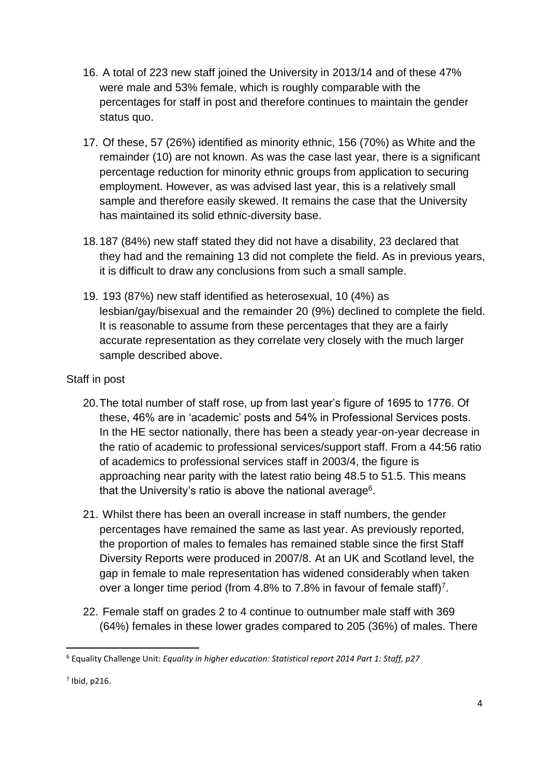- 16. A total of 223 new staff joined the University in 2013/14 and of these 47% were male and 53% female, which is roughly comparable with the percentages for staff in post and therefore continues to maintain the gender status quo.
- 17. Of these, 57 (26%) identified as minority ethnic, 156 (70%) as White and the remainder (10) are not known. As was the case last year, there is a significant percentage reduction for minority ethnic groups from application to securing employment. However, as was advised last year, this is a relatively small sample and therefore easily skewed. It remains the case that the University has maintained its solid ethnic-diversity base.
- 18.187 (84%) new staff stated they did not have a disability, 23 declared that they had and the remaining 13 did not complete the field. As in previous years, it is difficult to draw any conclusions from such a small sample.
- 19. 193 (87%) new staff identified as heterosexual, 10 (4%) as lesbian/gay/bisexual and the remainder 20 (9%) declined to complete the field. It is reasonable to assume from these percentages that they are a fairly accurate representation as they correlate very closely with the much larger sample described above.

#### Staff in post

- 20.The total number of staff rose, up from last year's figure of 1695 to 1776. Of these, 46% are in 'academic' posts and 54% in Professional Services posts. In the HE sector nationally, there has been a steady year-on-year decrease in the ratio of academic to professional services/support staff. From a 44:56 ratio of academics to professional services staff in 2003/4, the figure is approaching near parity with the latest ratio being 48.5 to 51.5. This means that the University's ratio is above the national average<sup>6</sup>.
- 21. Whilst there has been an overall increase in staff numbers, the gender percentages have remained the same as last year. As previously reported, the proportion of males to females has remained stable since the first Staff Diversity Reports were produced in 2007/8. At an UK and Scotland level, the gap in female to male representation has widened considerably when taken over a longer time period (from 4.8% to 7.8% in favour of female staff)<sup>7</sup>.
- 22. Female staff on grades 2 to 4 continue to outnumber male staff with 369 (64%) females in these lower grades compared to 205 (36%) of males. There

 $<sup>7</sup>$  Ibid, p216.</sup>

<sup>6</sup> Equality Challenge Unit: *Equality in higher education: Statistical report 2014 Part 1: Staff, p27*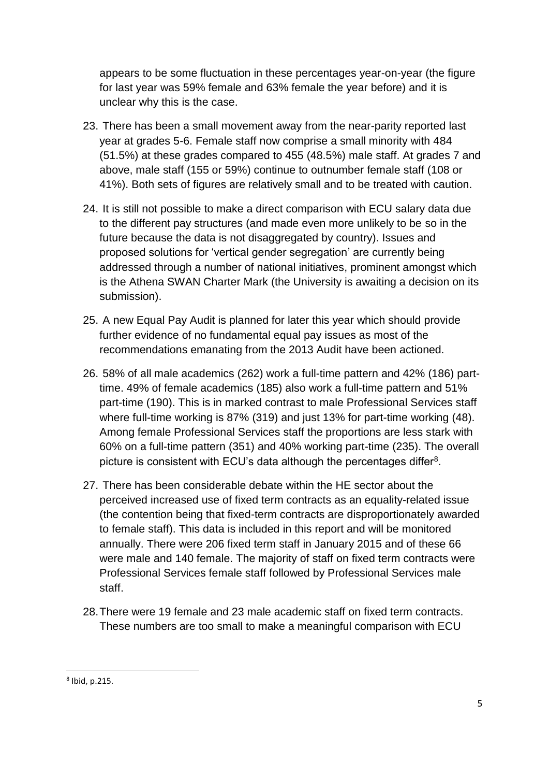appears to be some fluctuation in these percentages year-on-year (the figure for last year was 59% female and 63% female the year before) and it is unclear why this is the case.

- 23. There has been a small movement away from the near-parity reported last year at grades 5-6. Female staff now comprise a small minority with 484 (51.5%) at these grades compared to 455 (48.5%) male staff. At grades 7 and above, male staff (155 or 59%) continue to outnumber female staff (108 or 41%). Both sets of figures are relatively small and to be treated with caution.
- 24. It is still not possible to make a direct comparison with ECU salary data due to the different pay structures (and made even more unlikely to be so in the future because the data is not disaggregated by country). Issues and proposed solutions for 'vertical gender segregation' are currently being addressed through a number of national initiatives, prominent amongst which is the Athena SWAN Charter Mark (the University is awaiting a decision on its submission).
- 25. A new Equal Pay Audit is planned for later this year which should provide further evidence of no fundamental equal pay issues as most of the recommendations emanating from the 2013 Audit have been actioned.
- 26. 58% of all male academics (262) work a full-time pattern and 42% (186) parttime. 49% of female academics (185) also work a full-time pattern and 51% part-time (190). This is in marked contrast to male Professional Services staff where full-time working is 87% (319) and just 13% for part-time working (48). Among female Professional Services staff the proportions are less stark with 60% on a full-time pattern (351) and 40% working part-time (235). The overall picture is consistent with ECU's data although the percentages differ $8$ .
- 27. There has been considerable debate within the HE sector about the perceived increased use of fixed term contracts as an equality-related issue (the contention being that fixed-term contracts are disproportionately awarded to female staff). This data is included in this report and will be monitored annually. There were 206 fixed term staff in January 2015 and of these 66 were male and 140 female. The majority of staff on fixed term contracts were Professional Services female staff followed by Professional Services male staff.
- 28.There were 19 female and 23 male academic staff on fixed term contracts. These numbers are too small to make a meaningful comparison with ECU

<sup>8</sup> Ibid, p.215.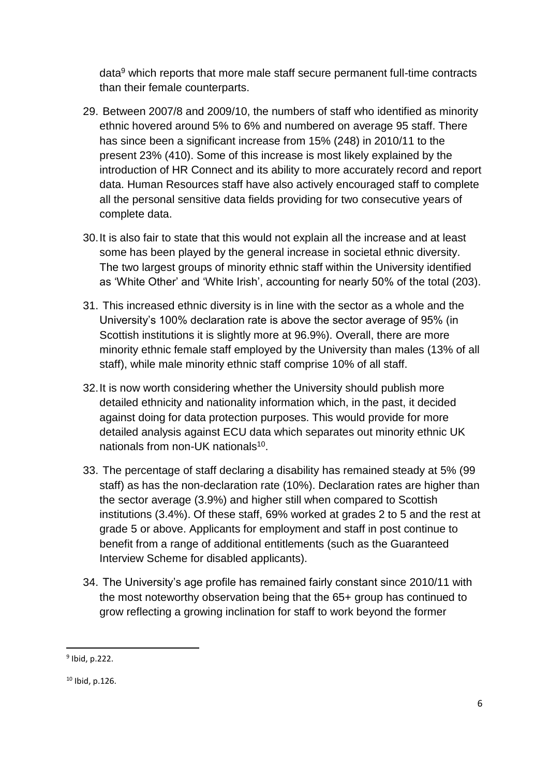data<sup>9</sup> which reports that more male staff secure permanent full-time contracts than their female counterparts.

- 29. Between 2007/8 and 2009/10, the numbers of staff who identified as minority ethnic hovered around 5% to 6% and numbered on average 95 staff. There has since been a significant increase from 15% (248) in 2010/11 to the present 23% (410). Some of this increase is most likely explained by the introduction of HR Connect and its ability to more accurately record and report data. Human Resources staff have also actively encouraged staff to complete all the personal sensitive data fields providing for two consecutive years of complete data.
- 30.It is also fair to state that this would not explain all the increase and at least some has been played by the general increase in societal ethnic diversity. The two largest groups of minority ethnic staff within the University identified as 'White Other' and 'White Irish', accounting for nearly 50% of the total (203).
- 31. This increased ethnic diversity is in line with the sector as a whole and the University's 100% declaration rate is above the sector average of 95% (in Scottish institutions it is slightly more at 96.9%). Overall, there are more minority ethnic female staff employed by the University than males (13% of all staff), while male minority ethnic staff comprise 10% of all staff.
- 32.It is now worth considering whether the University should publish more detailed ethnicity and nationality information which, in the past, it decided against doing for data protection purposes. This would provide for more detailed analysis against ECU data which separates out minority ethnic UK nationals from non-UK nationals<sup>10</sup>.
- 33. The percentage of staff declaring a disability has remained steady at 5% (99 staff) as has the non-declaration rate (10%). Declaration rates are higher than the sector average (3.9%) and higher still when compared to Scottish institutions (3.4%). Of these staff, 69% worked at grades 2 to 5 and the rest at grade 5 or above. Applicants for employment and staff in post continue to benefit from a range of additional entitlements (such as the Guaranteed Interview Scheme for disabled applicants).
- 34. The University's age profile has remained fairly constant since 2010/11 with the most noteworthy observation being that the 65+ group has continued to grow reflecting a growing inclination for staff to work beyond the former

<sup>9</sup> Ibid, p.222.

 $10$  Ibid, p.126.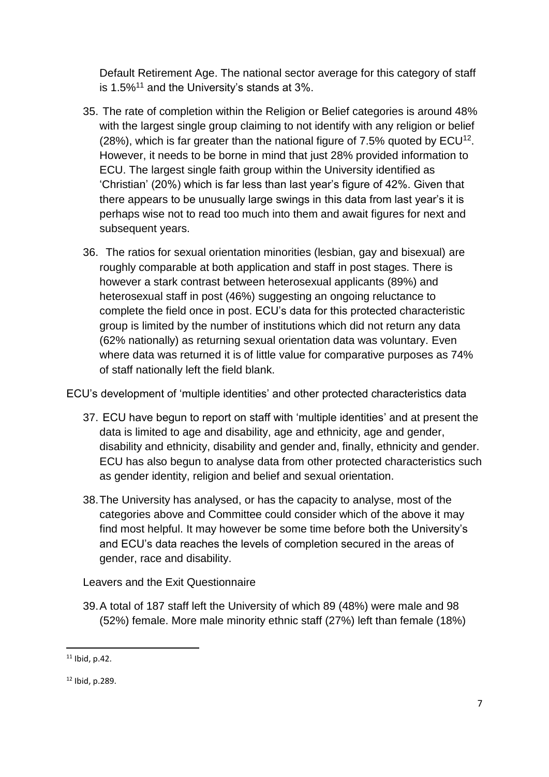Default Retirement Age. The national sector average for this category of staff is 1.5%<sup>11</sup> and the University's stands at 3%.

- 35. The rate of completion within the Religion or Belief categories is around 48% with the largest single group claiming to not identify with any religion or belief (28%), which is far greater than the national figure of 7.5% quoted by  $ECU^{12}$ . However, it needs to be borne in mind that just 28% provided information to ECU. The largest single faith group within the University identified as 'Christian' (20%) which is far less than last year's figure of 42%. Given that there appears to be unusually large swings in this data from last year's it is perhaps wise not to read too much into them and await figures for next and subsequent years.
- 36. The ratios for sexual orientation minorities (lesbian, gay and bisexual) are roughly comparable at both application and staff in post stages. There is however a stark contrast between heterosexual applicants (89%) and heterosexual staff in post (46%) suggesting an ongoing reluctance to complete the field once in post. ECU's data for this protected characteristic group is limited by the number of institutions which did not return any data (62% nationally) as returning sexual orientation data was voluntary. Even where data was returned it is of little value for comparative purposes as 74% of staff nationally left the field blank.

ECU's development of 'multiple identities' and other protected characteristics data

- 37. ECU have begun to report on staff with 'multiple identities' and at present the data is limited to age and disability, age and ethnicity, age and gender, disability and ethnicity, disability and gender and, finally, ethnicity and gender. ECU has also begun to analyse data from other protected characteristics such as gender identity, religion and belief and sexual orientation.
- 38.The University has analysed, or has the capacity to analyse, most of the categories above and Committee could consider which of the above it may find most helpful. It may however be some time before both the University's and ECU's data reaches the levels of completion secured in the areas of gender, race and disability.

Leavers and the Exit Questionnaire

39.A total of 187 staff left the University of which 89 (48%) were male and 98 (52%) female. More male minority ethnic staff (27%) left than female (18%)

 $11$  Ibid, p.42.

<sup>12</sup> Ibid, p.289.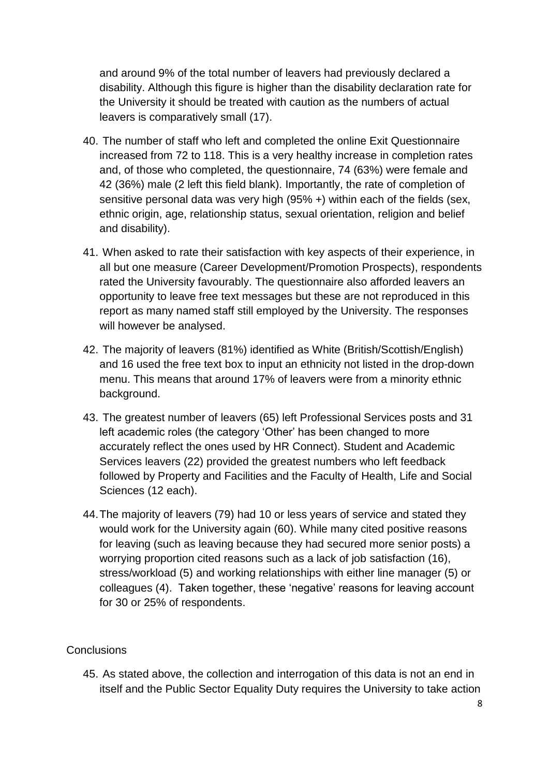and around 9% of the total number of leavers had previously declared a disability. Although this figure is higher than the disability declaration rate for the University it should be treated with caution as the numbers of actual leavers is comparatively small (17).

- 40. The number of staff who left and completed the online Exit Questionnaire increased from 72 to 118. This is a very healthy increase in completion rates and, of those who completed, the questionnaire, 74 (63%) were female and 42 (36%) male (2 left this field blank). Importantly, the rate of completion of sensitive personal data was very high (95% +) within each of the fields (sex, ethnic origin, age, relationship status, sexual orientation, religion and belief and disability).
- 41. When asked to rate their satisfaction with key aspects of their experience, in all but one measure (Career Development/Promotion Prospects), respondents rated the University favourably. The questionnaire also afforded leavers an opportunity to leave free text messages but these are not reproduced in this report as many named staff still employed by the University. The responses will however be analysed.
- 42. The majority of leavers (81%) identified as White (British/Scottish/English) and 16 used the free text box to input an ethnicity not listed in the drop-down menu. This means that around 17% of leavers were from a minority ethnic background.
- 43. The greatest number of leavers (65) left Professional Services posts and 31 left academic roles (the category 'Other' has been changed to more accurately reflect the ones used by HR Connect). Student and Academic Services leavers (22) provided the greatest numbers who left feedback followed by Property and Facilities and the Faculty of Health, Life and Social Sciences (12 each).
- 44.The majority of leavers (79) had 10 or less years of service and stated they would work for the University again (60). While many cited positive reasons for leaving (such as leaving because they had secured more senior posts) a worrying proportion cited reasons such as a lack of job satisfaction (16), stress/workload (5) and working relationships with either line manager (5) or colleagues (4). Taken together, these 'negative' reasons for leaving account for 30 or 25% of respondents.

#### **Conclusions**

45. As stated above, the collection and interrogation of this data is not an end in itself and the Public Sector Equality Duty requires the University to take action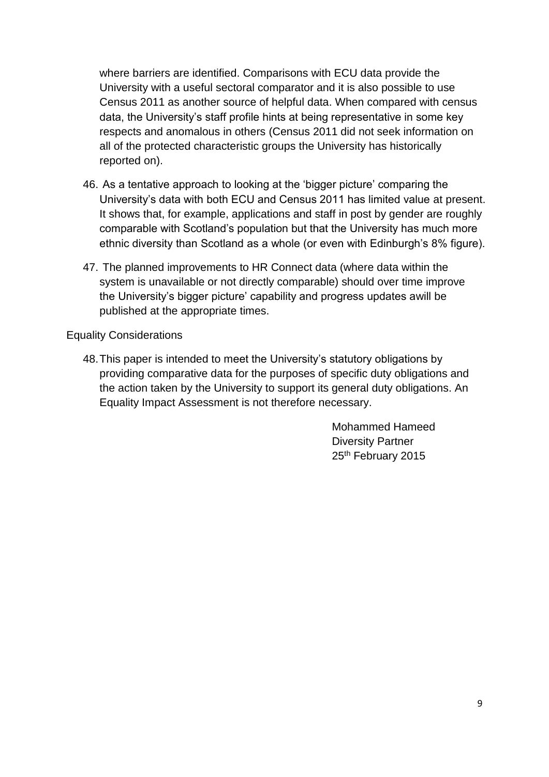where barriers are identified. Comparisons with ECU data provide the University with a useful sectoral comparator and it is also possible to use Census 2011 as another source of helpful data. When compared with census data, the University's staff profile hints at being representative in some key respects and anomalous in others (Census 2011 did not seek information on all of the protected characteristic groups the University has historically reported on).

- 46. As a tentative approach to looking at the 'bigger picture' comparing the University's data with both ECU and Census 2011 has limited value at present. It shows that, for example, applications and staff in post by gender are roughly comparable with Scotland's population but that the University has much more ethnic diversity than Scotland as a whole (or even with Edinburgh's 8% figure).
- 47. The planned improvements to HR Connect data (where data within the system is unavailable or not directly comparable) should over time improve the University's bigger picture' capability and progress updates awill be published at the appropriate times.

#### Equality Considerations

48.This paper is intended to meet the University's statutory obligations by providing comparative data for the purposes of specific duty obligations and the action taken by the University to support its general duty obligations. An Equality Impact Assessment is not therefore necessary.

> Mohammed Hameed Diversity Partner 25<sup>th</sup> February 2015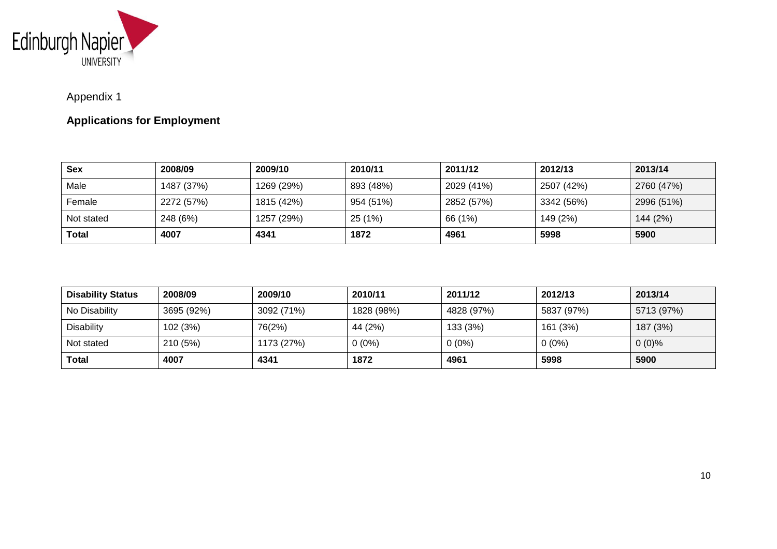

# Appendix 1

# **Applications for Employment**

| <b>Sex</b>   | 2008/09    | 2009/10    | 2010/11   | 2011/12    | 2012/13    | 2013/14    |
|--------------|------------|------------|-----------|------------|------------|------------|
| Male         | 1487 (37%) | 1269 (29%) | 893 (48%) | 2029 (41%) | 2507 (42%) | 2760 (47%) |
| Female       | 2272 (57%) | 1815 (42%) | 954 (51%) | 2852 (57%) | 3342 (56%) | 2996 (51%) |
| Not stated   | 248 (6%)   | 1257 (29%) | 25 (1%)   | 66 (1%)    | 149 (2%)   | 144 (2%)   |
| <b>Total</b> | 4007       | 4341       | 1872      | 4961       | 5998       | 5900       |

| <b>Disability Status</b> | 2008/09    | 2009/10    | 2010/11    | 2011/12    | 2012/13    | 2013/14    |
|--------------------------|------------|------------|------------|------------|------------|------------|
| No Disability            | 3695 (92%) | 3092 (71%) | 1828 (98%) | 4828 (97%) | 5837 (97%) | 5713 (97%) |
| <b>Disability</b>        | 102 (3%)   | 76(2%)     | 44 (2%)    | 133 (3%)   | 161 (3%)   | 187 (3%)   |
| Not stated               | 210 (5%)   | 1173 (27%) | $0(0\%)$   | $0(0\%)$   | $0(0\%)$   | $0(0)\%$   |
| <b>Total</b>             | 4007       | 4341       | 1872       | 4961       | 5998       | 5900       |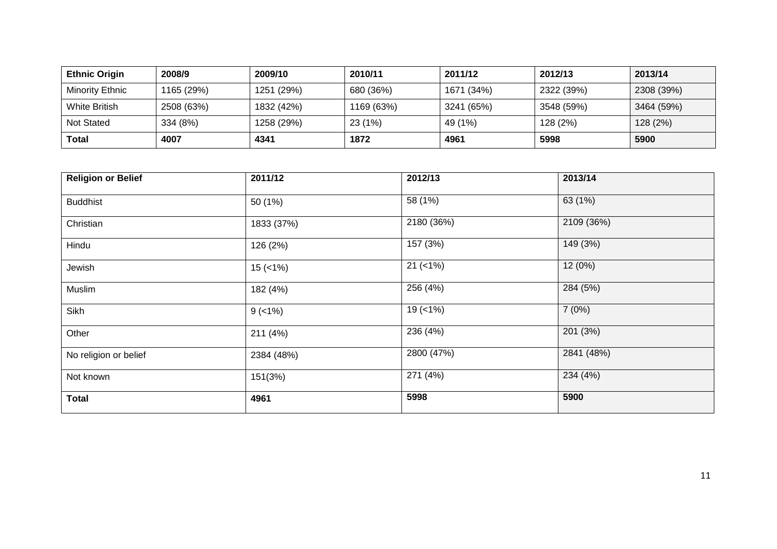| <b>Ethnic Origin</b>   | 2008/9     | 2009/10    | 2010/11    | 2011/12    | 2012/13    | 2013/14    |
|------------------------|------------|------------|------------|------------|------------|------------|
| <b>Minority Ethnic</b> | 1165 (29%) | 1251 (29%) | 680 (36%)  | 1671 (34%) | 2322 (39%) | 2308 (39%) |
| <b>White British</b>   | 2508 (63%) | 1832 (42%) | 1169 (63%) | 3241 (65%) | 3548 (59%) | 3464 (59%) |
| Not Stated             | 334 (8%)   | I258 (29%) | 23(1%)     | 49 (1%)    | 128 (2%)   | 128 (2%)   |
| <b>Total</b>           | 4007       | 4341       | 1872       | 4961       | 5998       | 5900       |

| <b>Religion or Belief</b> | 2011/12    | $\overline{2012/13}$ | 2013/14    |
|---------------------------|------------|----------------------|------------|
| <b>Buddhist</b>           | 50 (1%)    | 58 (1%)              | 63 (1%)    |
| Christian                 | 1833 (37%) | 2180 (36%)           | 2109 (36%) |
| Hindu                     | 126 (2%)   | 157 (3%)             | 149 (3%)   |
| Jewish                    | $15$ (<1%) | $21 (< 1\%)$         | 12(0%)     |
| Muslim                    | 182 (4%)   | 256 (4%)             | 284 (5%)   |
| Sikh                      | $9$ (<1%)  | $19 (=1%)$           | 7(0%)      |
| Other                     | 211 (4%)   | 236(4%)              | 201 (3%)   |
| No religion or belief     | 2384 (48%) | 2800 (47%)           | 2841 (48%) |
| Not known                 | 151(3%)    | 271 (4%)             | 234 (4%)   |
| <b>Total</b>              | 4961       | 5998                 | 5900       |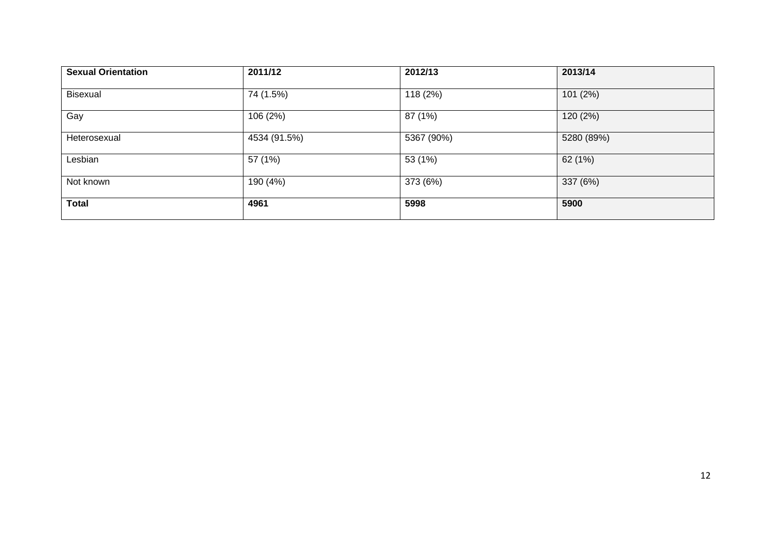| <b>Sexual Orientation</b> | 2011/12      | 2012/13    | 2013/14    |
|---------------------------|--------------|------------|------------|
| Bisexual                  | 74 (1.5%)    | 118 (2%)   | 101 (2%)   |
| Gay                       | 106 (2%)     | 87 (1%)    | 120 (2%)   |
| Heterosexual              | 4534 (91.5%) | 5367 (90%) | 5280 (89%) |
| Lesbian                   | 57 (1%)      | 53 (1%)    | 62 (1%)    |
| Not known                 | 190 (4%)     | 373 (6%)   | 337 (6%)   |
| <b>Total</b>              | 4961         | 5998       | 5900       |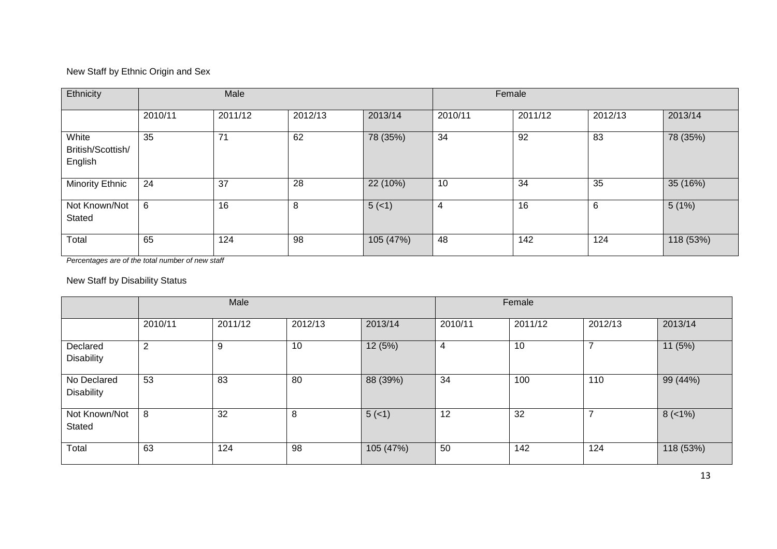#### New Staff by Ethnic Origin and Sex

| Ethnicity                             | Male    |         |         | Female    |                |         |         |           |
|---------------------------------------|---------|---------|---------|-----------|----------------|---------|---------|-----------|
|                                       | 2010/11 | 2011/12 | 2012/13 | 2013/14   | 2010/11        | 2011/12 | 2012/13 | 2013/14   |
| White<br>British/Scottish/<br>English | 35      | 71      | 62      | 78 (35%)  | 34             | 92      | 83      | 78 (35%)  |
| Minority Ethnic                       | 24      | 37      | 28      | 22 (10%)  | 10             | 34      | 35      | 35 (16%)  |
| Not Known/Not<br>Stated               | 6       | 16      | 8       | $5(-1)$   | $\overline{4}$ | 16      | 6       | 5(1%)     |
| Total                                 | 65      | 124     | 98      | 105 (47%) | 48             | 142     | 124     | 118 (53%) |

*Percentages are of the total number of new staff*

#### New Staff by Disability Status

|                                  | Male           |         |         | Female    |         |         |         |           |
|----------------------------------|----------------|---------|---------|-----------|---------|---------|---------|-----------|
|                                  | 2010/11        | 2011/12 | 2012/13 | 2013/14   | 2010/11 | 2011/12 | 2012/13 | 2013/14   |
| Declared<br><b>Disability</b>    | $\overline{2}$ | 9       | 10      | 12 (5%)   | 4       | 10      | ⇁       | 11(5%)    |
| No Declared<br><b>Disability</b> | 53             | 83      | 80      | 88 (39%)  | 34      | 100     | 110     | 99 (44%)  |
| Not Known/Not<br>Stated          | 8              | 32      | 8       | 5(1)      | 12      | 32      | ⇁       | $8(-1%)$  |
| Total                            | 63             | 124     | 98      | 105 (47%) | 50      | 142     | 124     | 118 (53%) |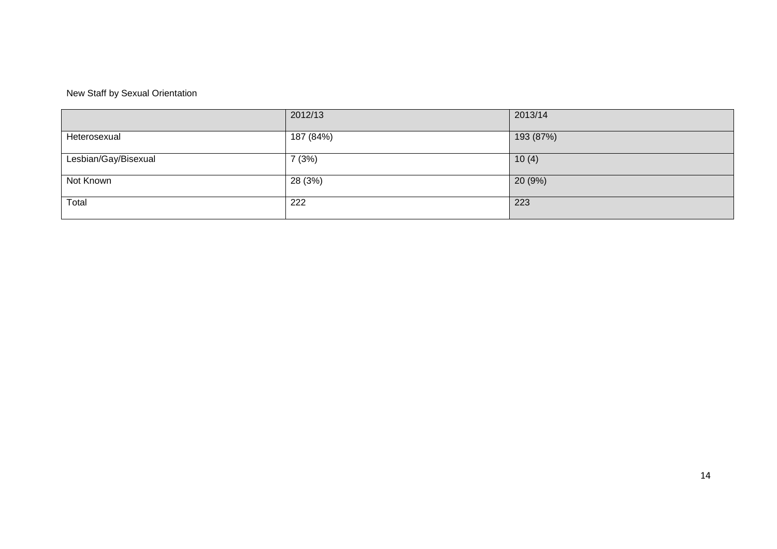#### New Staff by Sexual Orientation

|                      | 2012/13   | 2013/14   |
|----------------------|-----------|-----------|
| Heterosexual         | 187 (84%) | 193 (87%) |
| Lesbian/Gay/Bisexual | 7(3%)     | 10(4)     |
| Not Known            | 28 (3%)   | 20(9%)    |
| Total                | 222       | 223       |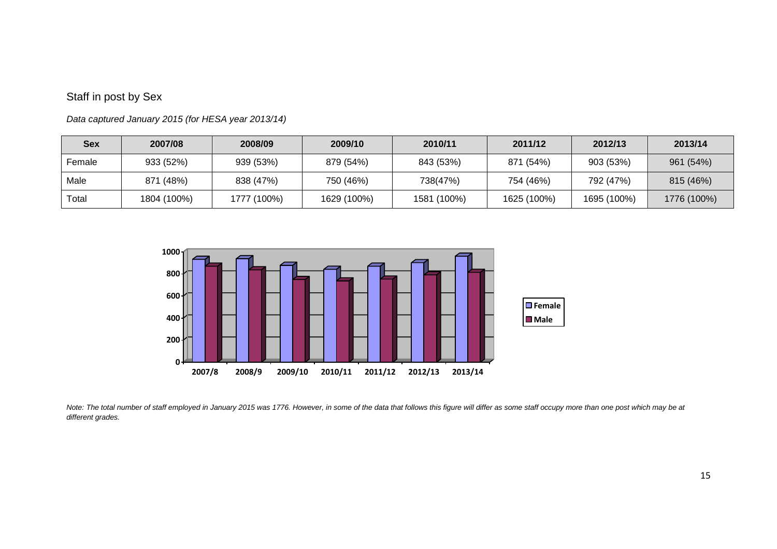### Staff in post by Sex

| <b>Sex</b> | 2007/08     | 2008/09     | 2009/10     | 2010/11     | 2011/12     | 2012/13     | 2013/14     |
|------------|-------------|-------------|-------------|-------------|-------------|-------------|-------------|
| Female     | 933 (52%)   | 939 (53%)   | 879 (54%)   | 843 (53%)   | 871 (54%)   | 903 (53%)   | 961 (54%)   |
| Male       | 871 (48%)   | 838 (47%)   | 750 (46%)   | 738(47%)    | 754 (46%)   | 792 (47%)   | 815 (46%)   |
| Total      | 1804 (100%) | 1777 (100%) | 1629 (100%) | 1581 (100%) | 1625 (100%) | 1695 (100%) | 1776 (100%) |

*Data captured January 2015 (for HESA year 2013/14)*



*Note: The total number of staff employed in January 2015 was 1776. However, in some of the data that follows this figure will differ as some staff occupy more than one post which may be at different grades.*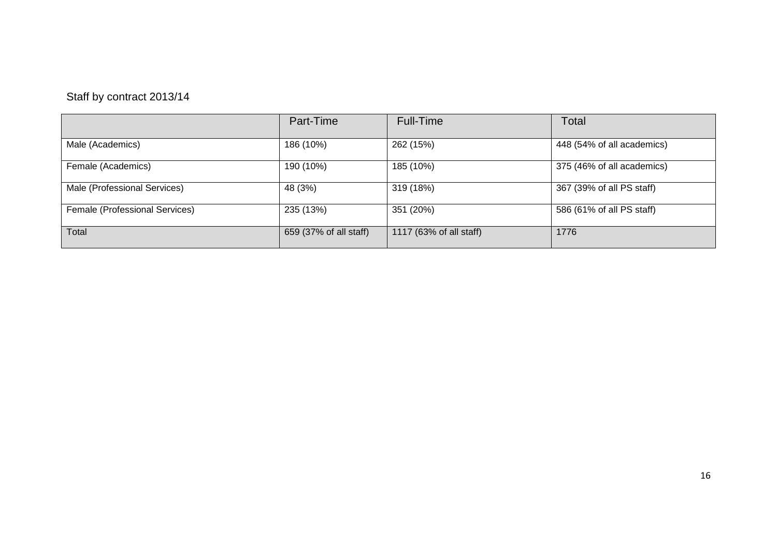# Staff by contract 2013/14

|                                | Part-Time              | Full-Time               | Total                      |
|--------------------------------|------------------------|-------------------------|----------------------------|
| Male (Academics)               | 186 (10%)              | 262 (15%)               | 448 (54% of all academics) |
| Female (Academics)             | 190 (10%)              | 185 (10%)               | 375 (46% of all academics) |
| Male (Professional Services)   | 48 (3%)                | 319 (18%)               | 367 (39% of all PS staff)  |
| Female (Professional Services) | 235 (13%)              | 351 (20%)               | 586 (61% of all PS staff)  |
| Total                          | 659 (37% of all staff) | 1117 (63% of all staff) | 1776                       |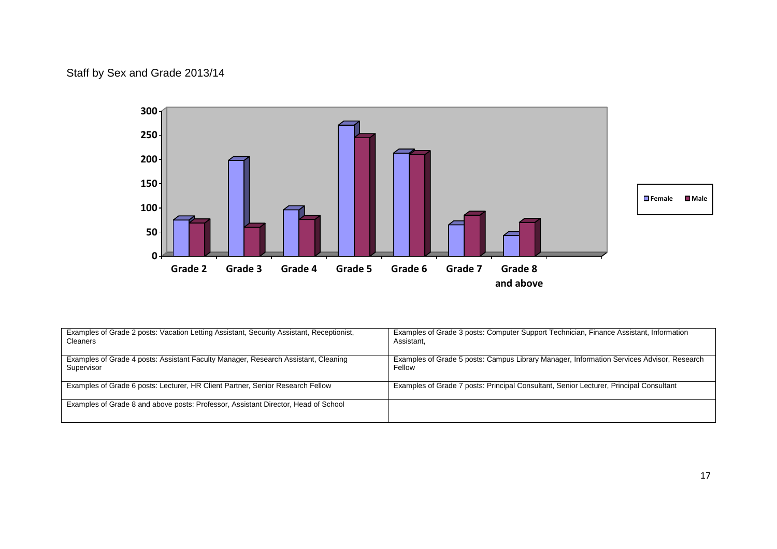### Staff by Sex and Grade 2013/14



| Examples of Grade 2 posts: Vacation Letting Assistant, Security Assistant, Receptionist, | Examples of Grade 3 posts: Computer Support Technician, Finance Assistant, Information    |
|------------------------------------------------------------------------------------------|-------------------------------------------------------------------------------------------|
| Cleaners                                                                                 | Assistant.                                                                                |
| Examples of Grade 4 posts: Assistant Faculty Manager, Research Assistant, Cleaning       | Examples of Grade 5 posts: Campus Library Manager, Information Services Advisor, Research |
| Supervisor                                                                               | Fellow                                                                                    |
| Examples of Grade 6 posts: Lecturer, HR Client Partner, Senior Research Fellow           | Examples of Grade 7 posts: Principal Consultant, Senior Lecturer, Principal Consultant    |
| Examples of Grade 8 and above posts: Professor, Assistant Director, Head of School       |                                                                                           |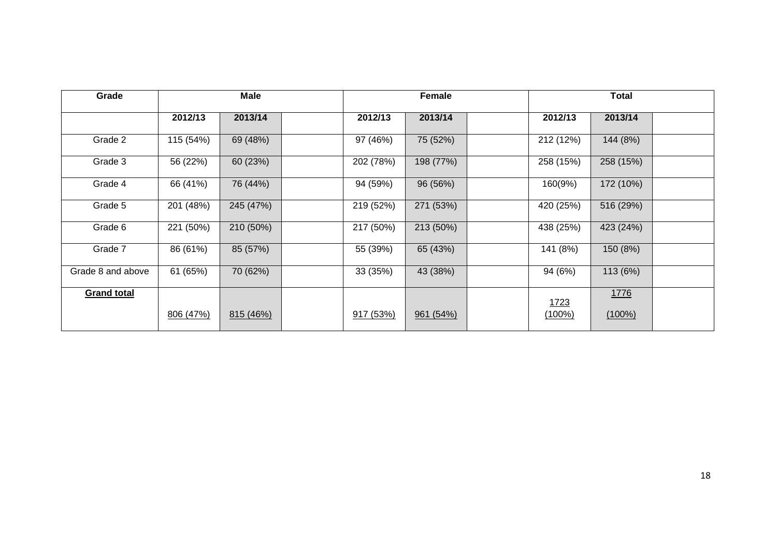| Grade              | <b>Male</b> |           | <b>Female</b> |           | <b>Total</b> |           |           |  |
|--------------------|-------------|-----------|---------------|-----------|--------------|-----------|-----------|--|
|                    | 2012/13     | 2013/14   | 2012/13       | 2013/14   |              | 2012/13   | 2013/14   |  |
| Grade 2            | 115 (54%)   | 69 (48%)  | 97 (46%)      | 75 (52%)  |              | 212 (12%) | 144 (8%)  |  |
| Grade 3            | 56 (22%)    | 60 (23%)  | 202 (78%)     | 198 (77%) |              | 258 (15%) | 258 (15%) |  |
| Grade 4            | 66 (41%)    | 76 (44%)  | 94 (59%)      | 96 (56%)  |              | 160(9%)   | 172 (10%) |  |
| Grade 5            | 201 (48%)   | 245 (47%) | 219 (52%)     | 271 (53%) |              | 420 (25%) | 516 (29%) |  |
| Grade 6            | 221 (50%)   | 210 (50%) | 217 (50%)     | 213 (50%) |              | 438 (25%) | 423 (24%) |  |
| Grade 7            | 86 (61%)    | 85 (57%)  | 55 (39%)      | 65 (43%)  |              | 141 (8%)  | 150 (8%)  |  |
| Grade 8 and above  | 61 (65%)    | 70 (62%)  | 33 (35%)      | 43 (38%)  |              | 94 (6%)   | 113 (6%)  |  |
| <b>Grand total</b> |             |           |               |           |              | 1723      | 1776      |  |
|                    | 806 (47%)   | 815(46%)  | 917(53%)      | 961(54%)  |              | $(100\%)$ | $(100\%)$ |  |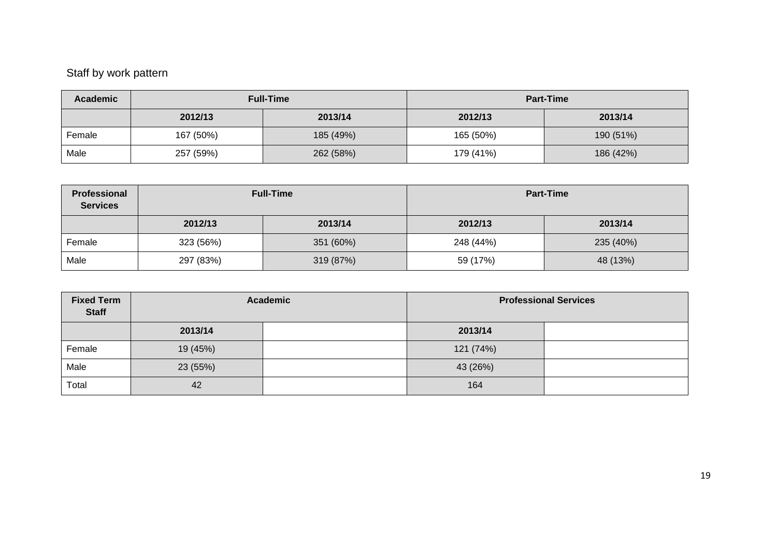# Staff by work pattern

| <b>Academic</b> |           | <b>Full-Time</b> | <b>Part-Time</b> |           |  |
|-----------------|-----------|------------------|------------------|-----------|--|
|                 | 2012/13   | 2013/14          | 2012/13          | 2013/14   |  |
| Female          | 167 (50%) | 185 (49%)        | 165 (50%)        | 190 (51%) |  |
| Male            | 257 (59%) | 262 (58%)        | 179 (41%)        | 186 (42%) |  |

| Professional<br><b>Services</b> |           | <b>Full-Time</b> | <b>Part-Time</b> |           |  |
|---------------------------------|-----------|------------------|------------------|-----------|--|
|                                 | 2012/13   | 2013/14          | 2012/13          | 2013/14   |  |
| Female                          | 323 (56%) | 351 (60%)        | 248 (44%)        | 235 (40%) |  |
| Male                            | 297 (83%) | 319 (87%)        | 59 (17%)         | 48 (13%)  |  |

| <b>Fixed Term</b><br><b>Staff</b> |          | <b>Academic</b> | <b>Professional Services</b> |  |  |
|-----------------------------------|----------|-----------------|------------------------------|--|--|
|                                   | 2013/14  |                 | 2013/14                      |  |  |
| Female                            | 19 (45%) |                 | 121 (74%)                    |  |  |
| Male                              | 23 (55%) |                 | 43 (26%)                     |  |  |
| Total                             | 42       |                 | 164                          |  |  |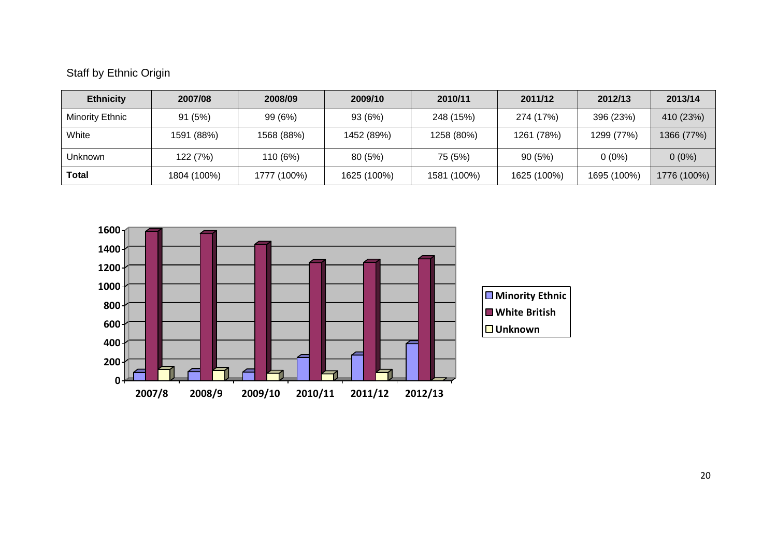### Staff by Ethnic Origin

| <b>Ethnicity</b> | 2007/08     | 2008/09     | 2009/10     | 2010/11     | 2011/12     | 2012/13     | 2013/14     |
|------------------|-------------|-------------|-------------|-------------|-------------|-------------|-------------|
| Minority Ethnic  | 91(5%)      | 99 (6%)     | 93 (6%)     | 248 (15%)   | 274 (17%)   | 396 (23%)   | 410 (23%)   |
| White            | 1591 (88%)  | 1568 (88%)  | 1452 (89%)  | 1258 (80%)  | 1261 (78%)  | 1299 (77%)  | 1366 (77%)  |
| <b>Unknown</b>   | 122 (7%)    | 110 (6%)    | 80(5%)      | 75 (5%)     | 90(5%)      | $0(0\%)$    | $0(0\%)$    |
| Total            | 1804 (100%) | 1777 (100%) | 1625 (100%) | 1581 (100%) | 1625 (100%) | 1695 (100%) | 1776 (100%) |

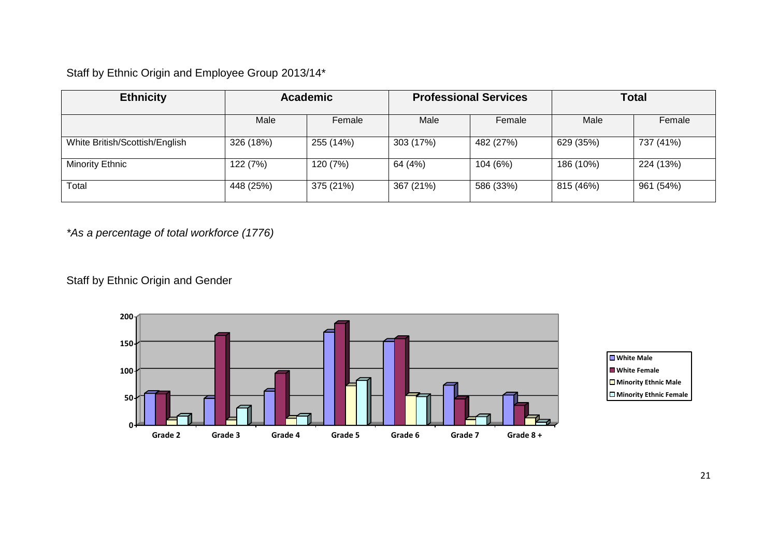Staff by Ethnic Origin and Employee Group 2013/14\*

| <b>Ethnicity</b>               | <b>Academic</b> |           |           | <b>Professional Services</b> | <b>Total</b> |           |
|--------------------------------|-----------------|-----------|-----------|------------------------------|--------------|-----------|
|                                | Male            | Female    | Male      | Female                       | Male         | Female    |
| White British/Scottish/English | 326 (18%)       | 255 (14%) | 303 (17%) | 482 (27%)                    | 629 (35%)    | 737 (41%) |
| Minority Ethnic                | 122 (7%)        | 120 (7%)  | 64 (4%)   | 104 (6%)                     | 186 (10%)    | 224 (13%) |
| Total                          | 448 (25%)       | 375 (21%) | 367 (21%) | 586 (33%)                    | 815 (46%)    | 961 (54%) |

*\*As a percentage of total workforce (1776)*

Staff by Ethnic Origin and Gender



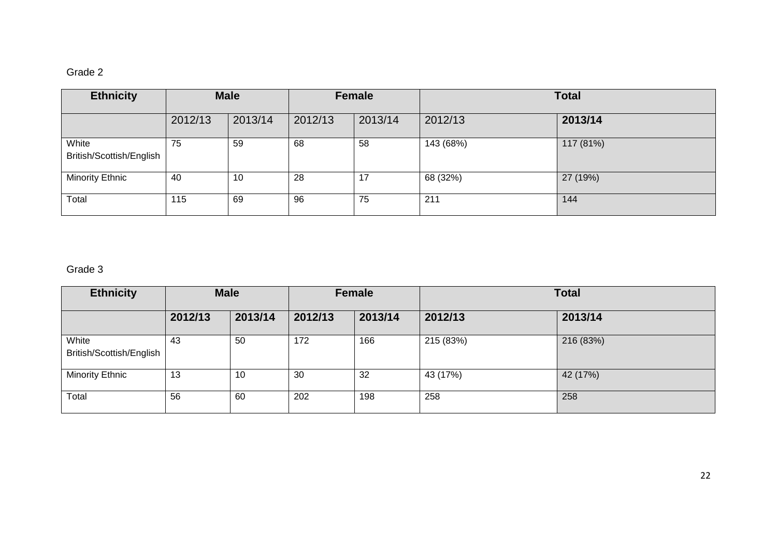# Grade 2

| <b>Ethnicity</b>                  | <b>Male</b> |         |         | Female  |           | <b>Total</b> |
|-----------------------------------|-------------|---------|---------|---------|-----------|--------------|
|                                   | 2012/13     | 2013/14 | 2012/13 | 2013/14 | 2012/13   | 2013/14      |
| White<br>British/Scottish/English | 75          | 59      | 68      | 58      | 143 (68%) | 117 (81%)    |
| <b>Minority Ethnic</b>            | 40          | 10      | 28      | 17      | 68 (32%)  | 27 (19%)     |
| Total                             | 115         | 69      | 96      | 75      | 211       | 144          |

### Grade 3

| <b>Ethnicity</b>                  |         | <b>Male</b> | Female  |         | <b>Total</b> |           |
|-----------------------------------|---------|-------------|---------|---------|--------------|-----------|
|                                   | 2012/13 | 2013/14     | 2012/13 | 2013/14 | 2012/13      | 2013/14   |
| White<br>British/Scottish/English | 43      | 50          | 172     | 166     | 215 (83%)    | 216 (83%) |
| Minority Ethnic                   | 13      | 10          | 30      | 32      | 43 (17%)     | 42 (17%)  |
| Total                             | 56      | 60          | 202     | 198     | 258          | 258       |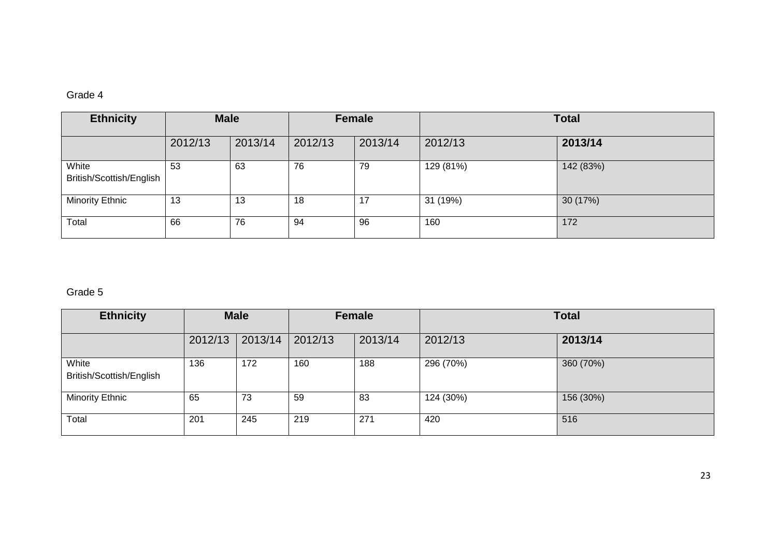#### Grade 4

| <b>Ethnicity</b>                  | <b>Male</b> |         |         | Female  |           | <b>Total</b> |
|-----------------------------------|-------------|---------|---------|---------|-----------|--------------|
|                                   | 2012/13     | 2013/14 | 2012/13 | 2013/14 | 2012/13   | 2013/14      |
| White<br>British/Scottish/English | 53          | 63      | 76      | 79      | 129 (81%) | 142 (83%)    |
| Minority Ethnic                   | 13          | 13      | 18      | 17      | 31 (19%)  | 30 (17%)     |
| Total                             | 66          | 76      | 94      | 96      | 160       | 172          |

### Grade 5

| <b>Ethnicity</b>                  |         | <b>Male</b> |         | Female  | <b>Total</b> |           |
|-----------------------------------|---------|-------------|---------|---------|--------------|-----------|
|                                   | 2012/13 | 2013/14     | 2012/13 | 2013/14 | 2012/13      | 2013/14   |
| White<br>British/Scottish/English | 136     | 172         | 160     | 188     | 296 (70%)    | 360 (70%) |
| <b>Minority Ethnic</b>            | 65      | 73          | 59      | 83      | 124 (30%)    | 156 (30%) |
| Total                             | 201     | 245         | 219     | 271     | 420          | 516       |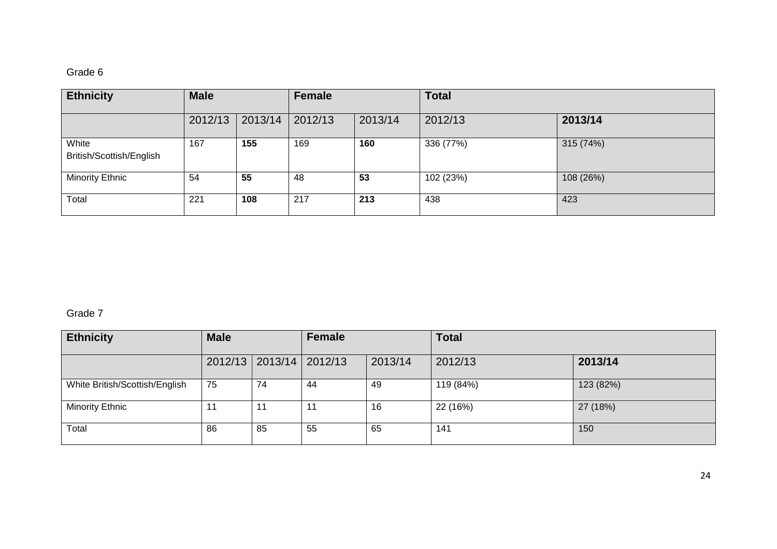### Grade 6

| <b>Ethnicity</b>                  | <b>Male</b> |         | <b>Female</b> |         | <b>Total</b> |           |
|-----------------------------------|-------------|---------|---------------|---------|--------------|-----------|
|                                   | 2012/13     | 2013/14 | 2012/13       | 2013/14 | 2012/13      | 2013/14   |
| White<br>British/Scottish/English | 167         | 155     | 169           | 160     | 336 (77%)    | 315 (74%) |
| Minority Ethnic                   | 54          | 55      | 48            | 53      | 102 (23%)    | 108 (26%) |
| Total                             | 221         | 108     | 217           | 213     | 438          | 423       |

### Grade 7

| <b>Ethnicity</b>               | <b>Male</b> |                             | Female |         | <b>Total</b> |           |  |  |
|--------------------------------|-------------|-----------------------------|--------|---------|--------------|-----------|--|--|
|                                |             | 2012/13   2013/14   2012/13 |        | 2013/14 | 2012/13      | 2013/14   |  |  |
| White British/Scottish/English | 75          | 74                          | 44     | 49      | 119 (84%)    | 123 (82%) |  |  |
| <b>Minority Ethnic</b>         |             |                             | 11     | 16      | 22 (16%)     | 27 (18%)  |  |  |
| Total                          | 86          | 85                          | 55     | 65      | 141          | 150       |  |  |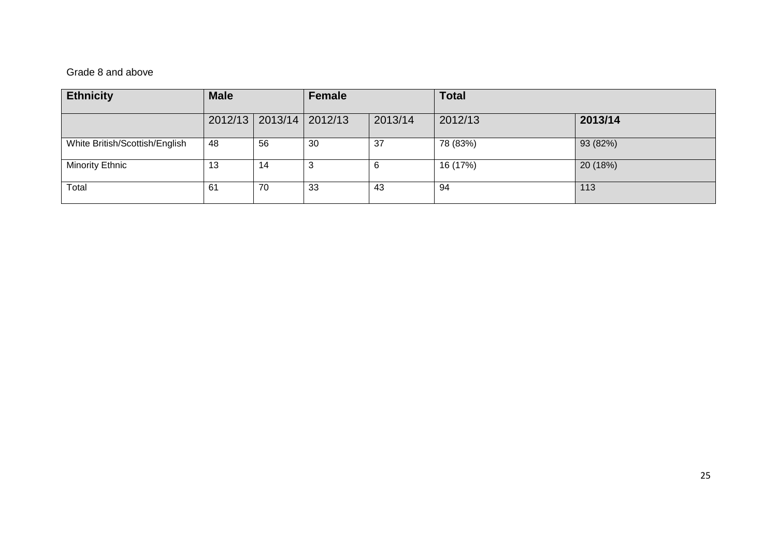#### Grade 8 and above

| <b>Ethnicity</b>               | <b>Male</b> |    | Female          |         | <b>Total</b> |          |
|--------------------------------|-------------|----|-----------------|---------|--------------|----------|
|                                | 2012/13     |    | 2013/14 2012/13 | 2013/14 | 2012/13      | 2013/14  |
| White British/Scottish/English | 48          | 56 | 30              | 37      | 78 (83%)     | 93 (82%) |
| <b>Minority Ethnic</b>         | 13          | 14 | 3               | 6       | 16 (17%)     | 20 (18%) |
| Total                          | 61          | 70 | 33              | -43     | -94          | 113      |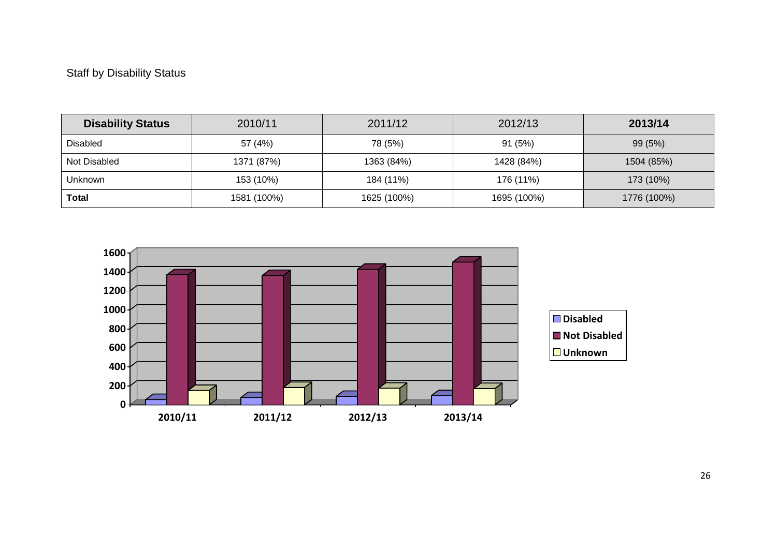### Staff by Disability Status

| <b>Disability Status</b> | 2010/11     | 2011/12     | 2012/13     | 2013/14     |
|--------------------------|-------------|-------------|-------------|-------------|
| Disabled                 | 57 (4%)     | 78 (5%)     | 91(5%)      | 99 (5%)     |
| Not Disabled             | 1371 (87%)  | 1363 (84%)  | 1428 (84%)  | 1504 (85%)  |
| Unknown                  | 153 (10%)   | 184 (11%)   | 176 (11%)   | 173 (10%)   |
| <b>Total</b>             | 1581 (100%) | 1625 (100%) | 1695 (100%) | 1776 (100%) |

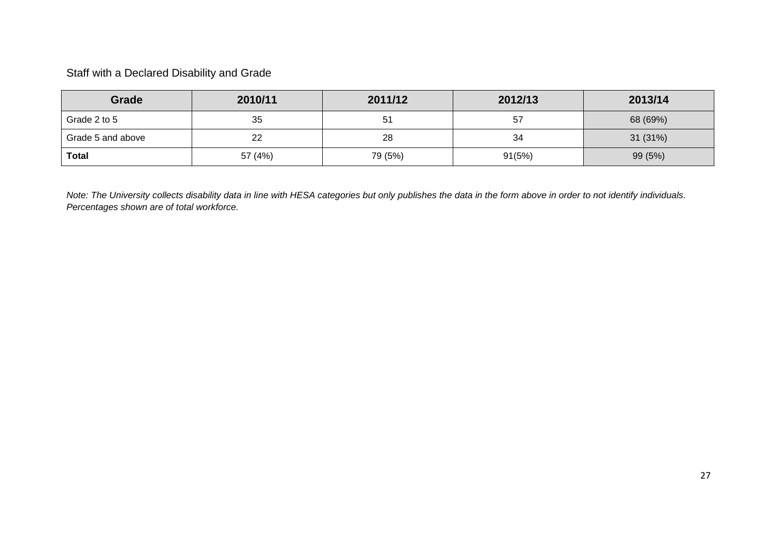### Staff with a Declared Disability and Grade

| Grade             | 2010/11 | 2011/12 | 2012/13 | 2013/14  |
|-------------------|---------|---------|---------|----------|
| Grade 2 to 5      | 35      | 51      | 57      | 68 (69%) |
| Grade 5 and above | 22      | 28      | 34      | 31 (31%) |
| <b>Total</b>      | 57 (4%) | 79 (5%) | 91(5%)  | 99 (5%)  |

*Note: The University collects disability data in line with HESA categories but only publishes the data in the form above in order to not identify individuals. Percentages shown are of total workforce.*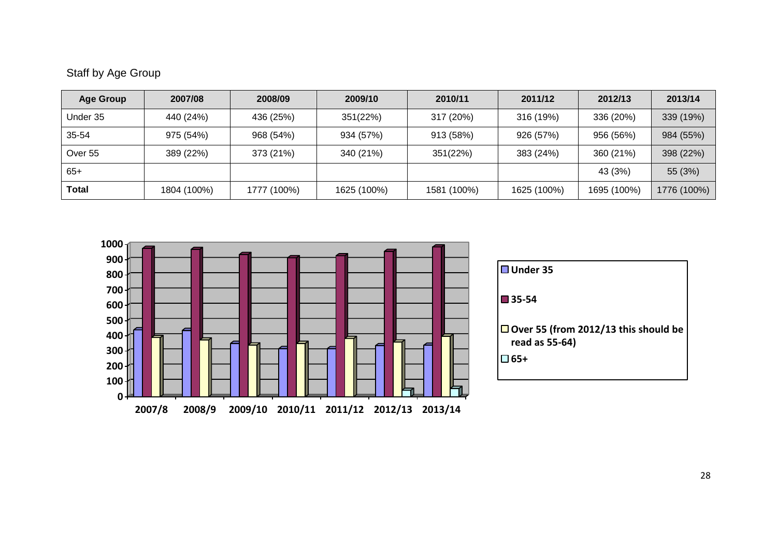# Staff by Age Group

| <b>Age Group</b> | 2007/08     | 2008/09     | 2009/10     | 2010/11     | 2011/12     | 2012/13     | 2013/14     |
|------------------|-------------|-------------|-------------|-------------|-------------|-------------|-------------|
| Under 35         | 440 (24%)   | 436 (25%)   | 351(22%)    | 317 (20%)   | 316 (19%)   | 336 (20%)   | 339 (19%)   |
| 35-54            | 975 (54%)   | 968 (54%)   | 934 (57%)   | 913 (58%)   | 926 (57%)   | 956 (56%)   | 984 (55%)   |
| Over 55          | 389 (22%)   | 373 (21%)   | 340 (21%)   | 351(22%)    | 383 (24%)   | 360 (21%)   | 398 (22%)   |
| $65+$            |             |             |             |             |             | 43 (3%)     | 55 (3%)     |
| <b>Total</b>     | 1804 (100%) | 1777 (100%) | 1625 (100%) | 1581 (100%) | 1625 (100%) | 1695 (100%) | 1776 (100%) |



| ■Under 35                                                     |
|---------------------------------------------------------------|
| $\blacksquare$ 35-54                                          |
| $\Box$ Over 55 (from 2012/13 this should be<br>read as 55-64) |
| □ 65+                                                         |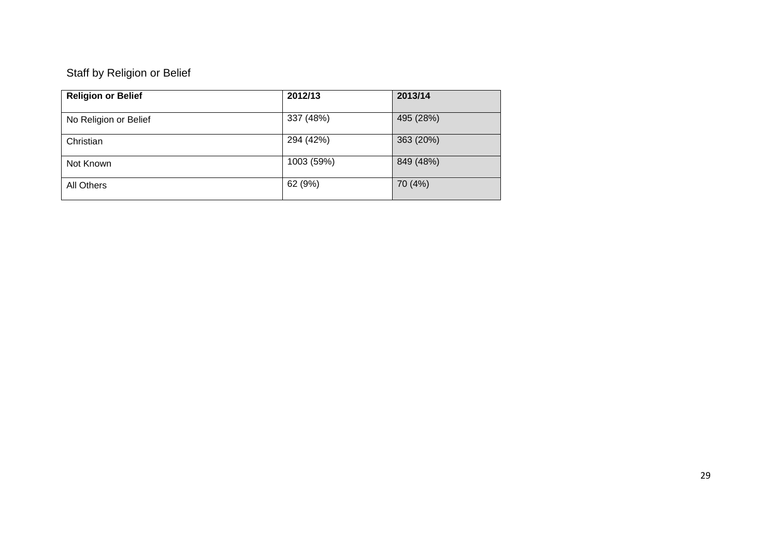# Staff by Religion or Belief

| <b>Religion or Belief</b> | 2012/13    | 2013/14   |
|---------------------------|------------|-----------|
| No Religion or Belief     | 337 (48%)  | 495 (28%) |
| Christian                 | 294 (42%)  | 363 (20%) |
| Not Known                 | 1003 (59%) | 849 (48%) |
| All Others                | 62 (9%)    | 70 (4%)   |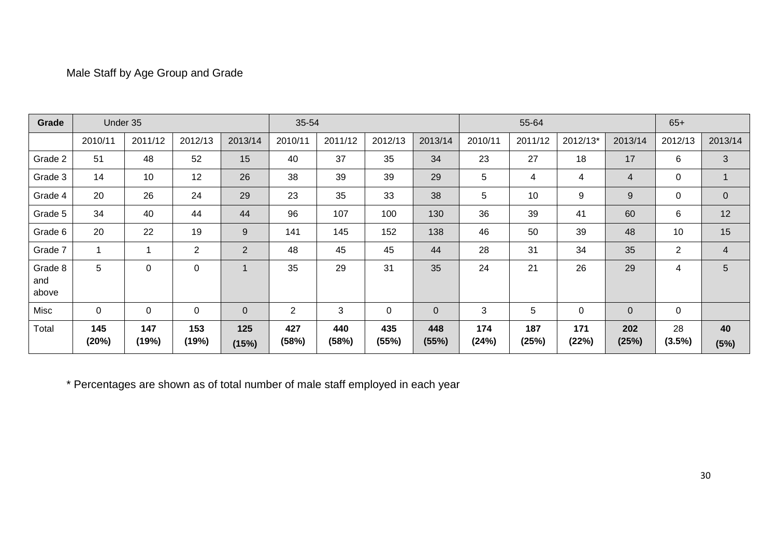### Male Staff by Age Group and Grade

| Grade                   | Under 35     |              |                |                | 35-54          |              |              |              |              | 55-64        |              |                | $65+$          |                |
|-------------------------|--------------|--------------|----------------|----------------|----------------|--------------|--------------|--------------|--------------|--------------|--------------|----------------|----------------|----------------|
|                         | 2010/11      | 2011/12      | 2012/13        | 2013/14        | 2010/11        | 2011/12      | 2012/13      | 2013/14      | 2010/11      | 2011/12      | 2012/13*     | 2013/14        | 2012/13        | 2013/14        |
| Grade 2                 | 51           | 48           | 52             | 15             | 40             | 37           | 35           | 34           | 23           | 27           | 18           | 17             | 6              | 3              |
| Grade 3                 | 14           | 10           | 12             | 26             | 38             | 39           | 39           | 29           | 5            | 4            | 4            | $\overline{4}$ | 0              |                |
| Grade 4                 | 20           | 26           | 24             | 29             | 23             | 35           | 33           | 38           | 5            | 10           | 9            | 9              | 0              | $\mathbf{0}$   |
| Grade 5                 | 34           | 40           | 44             | 44             | 96             | 107          | 100          | 130          | 36           | 39           | 41           | 60             | 6              | 12             |
| Grade 6                 | 20           | 22           | 19             | 9              | 141            | 145          | 152          | 138          | 46           | 50           | 39           | 48             | 10             | 15             |
| Grade 7                 |              | 1            | $\overline{2}$ | $\overline{2}$ | 48             | 45           | 45           | 44           | 28           | 31           | 34           | 35             | $\overline{2}$ | $\overline{4}$ |
| Grade 8<br>and<br>above | 5            | 0            | $\Omega$       | $\overline{1}$ | 35             | 29           | 31           | 35           | 24           | 21           | 26           | 29             | 4              | 5              |
| Misc                    | $\mathbf 0$  | $\mathbf 0$  | 0              | $\mathbf 0$    | $\overline{2}$ | $\mathbf{3}$ | $\mathbf 0$  | $\mathbf{0}$ | 3            | 5            | $\pmb{0}$    | $\overline{0}$ | $\mathbf 0$    |                |
| Total                   | 145<br>(20%) | 147<br>(19%) | 153<br>(19%)   | 125<br>(15%)   | 427<br>(58%)   | 440<br>(58%) | 435<br>(55%) | 448<br>(55%) | 174<br>(24%) | 187<br>(25%) | 171<br>(22%) | 202<br>(25%)   | 28<br>(3.5%)   | 40<br>(5%)     |

\* Percentages are shown as of total number of male staff employed in each year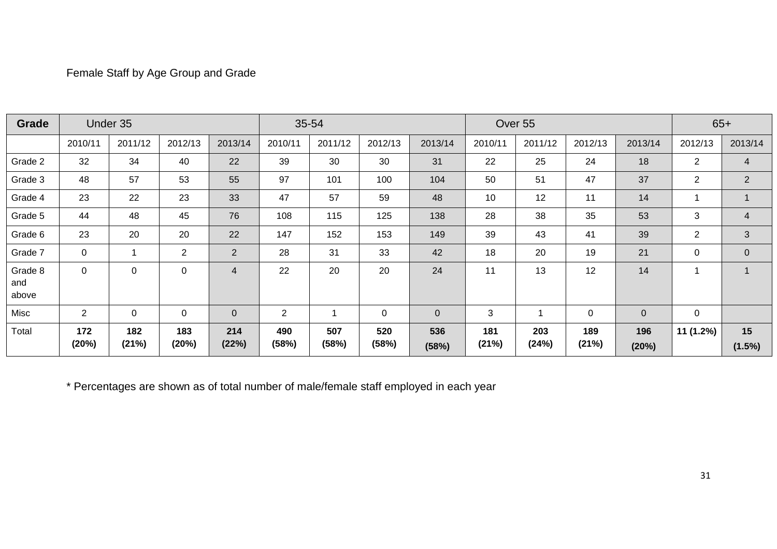### Female Staff by Age Group and Grade

| Grade                   |                | Under 35     |                |                | 35-54          |              |              |              |              | Over 55      |              |                |                | $65+$           |
|-------------------------|----------------|--------------|----------------|----------------|----------------|--------------|--------------|--------------|--------------|--------------|--------------|----------------|----------------|-----------------|
|                         | 2010/11        | 2011/12      | 2012/13        | 2013/14        | 2010/11        | 2011/12      | 2012/13      | 2013/14      | 2010/11      | 2011/12      | 2012/13      | 2013/14        | 2012/13        | 2013/14         |
| Grade 2                 | 32             | 34           | 40             | 22             | 39             | 30           | 30           | 31           | 22           | 25           | 24           | 18             | $\overline{2}$ | 4               |
| Grade 3                 | 48             | 57           | 53             | 55             | 97             | 101          | 100          | 104          | 50           | 51           | 47           | 37             | $\overline{2}$ | $\overline{2}$  |
| Grade 4                 | 23             | 22           | 23             | 33             | 47             | 57           | 59           | 48           | 10           | 12           | 11           | 14             |                |                 |
| Grade 5                 | 44             | 48           | 45             | 76             | 108            | 115          | 125          | 138          | 28           | 38           | 35           | 53             | 3              | 4               |
| Grade 6                 | 23             | 20           | 20             | 22             | 147            | 152          | 153          | 149          | 39           | 43           | 41           | 39             | $\overline{2}$ | 3               |
| Grade 7                 | 0              |              | $\overline{2}$ | $\overline{2}$ | 28             | 31           | 33           | 42           | 18           | 20           | 19           | 21             | $\mathbf 0$    | $\overline{0}$  |
| Grade 8<br>and<br>above | 0              | 0            | $\mathbf 0$    | $\overline{4}$ | 22             | 20           | 20           | 24           | 11           | 13           | 12           | 14             |                |                 |
| Misc                    | $\overline{2}$ | 0            | $\mathbf 0$    | $\mathbf 0$    | $\overline{2}$ |              | $\mathbf 0$  | $\mathbf{0}$ | 3            | 1            | 0            | $\overline{0}$ | 0              |                 |
| Total                   | 172<br>(20%)   | 182<br>(21%) | 183<br>(20%)   | 214<br>(22%)   | 490<br>(58%)   | 507<br>(58%) | 520<br>(58%) | 536<br>(58%) | 181<br>(21%) | 203<br>(24%) | 189<br>(21%) | 196<br>(20%)   | 11 (1.2%)      | 15<br>$(1.5\%)$ |

\* Percentages are shown as of total number of male/female staff employed in each year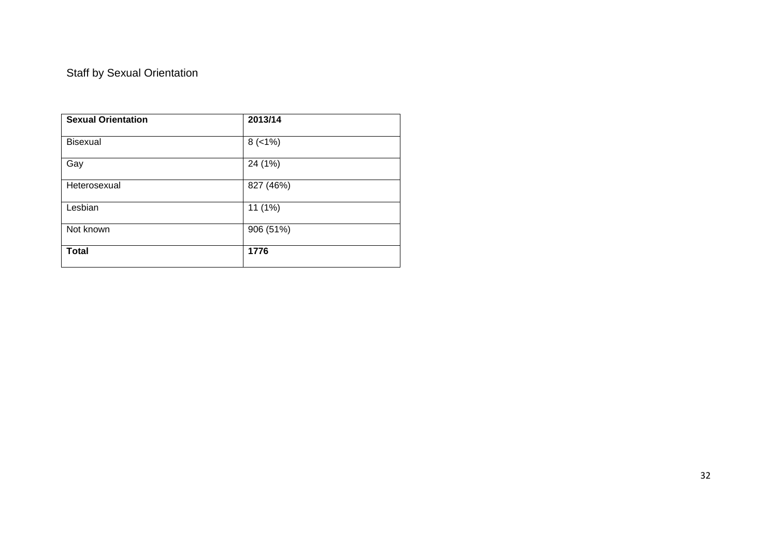# Staff by Sexual Orientation

| <b>Sexual Orientation</b> | 2013/14   |  |
|---------------------------|-----------|--|
| <b>Bisexual</b>           | $8$ (<1%) |  |
| Gay                       | 24 (1%)   |  |
| Heterosexual              | 827 (46%) |  |
| Lesbian                   | 11 (1%)   |  |
| Not known                 | 906 (51%) |  |
| <b>Total</b>              | 1776      |  |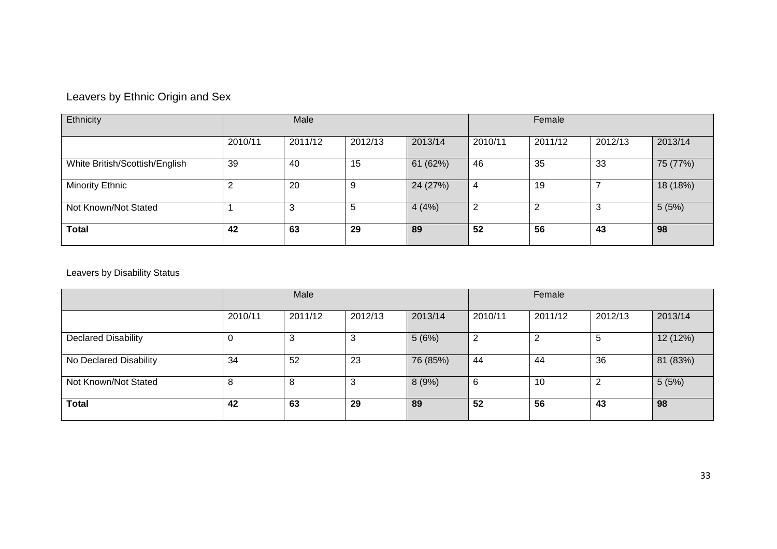# Leavers by Ethnic Origin and Sex

| Ethnicity                      | Male    |         |         | Female   |         |         |         |          |
|--------------------------------|---------|---------|---------|----------|---------|---------|---------|----------|
|                                | 2010/11 | 2011/12 | 2012/13 | 2013/14  | 2010/11 | 2011/12 | 2012/13 | 2013/14  |
| White British/Scottish/English | 39      | -40     | 15      | 61 (62%) | 46      | 35      | 33      | 75 (77%) |
| <b>Minority Ethnic</b>         | ົ       | 20      | 9       | 24 (27%) | 4       | 19      |         | 18 (18%) |
| Not Known/Not Stated           |         | 3       | 5       | 4(4%)    | 2       | 2       | 3       | 5(5%)    |
| <b>Total</b>                   | 42      | 63      | 29      | 89       | 52      | 56      | 43      | 98       |

### Leavers by Disability Status

|                            |         | Male    |         |          | Female  |         |         |          |
|----------------------------|---------|---------|---------|----------|---------|---------|---------|----------|
|                            | 2010/11 | 2011/12 | 2012/13 | 2013/14  | 2010/11 | 2011/12 | 2012/13 | 2013/14  |
| <b>Declared Disability</b> | 0       | 3       | 3       | 5(6%)    | 2       |         |         | 12 (12%) |
| No Declared Disability     | 34      | 52      | 23      | 76 (85%) | 44      | 44      | 36      | 81 (83%) |
| Not Known/Not Stated       | 8       | 8       | 3       | 8(9%)    | 6       | 10      |         | 5(5%)    |
| <b>Total</b>               | 42      | 63      | 29      | 89       | 52      | 56      | 43      | 98       |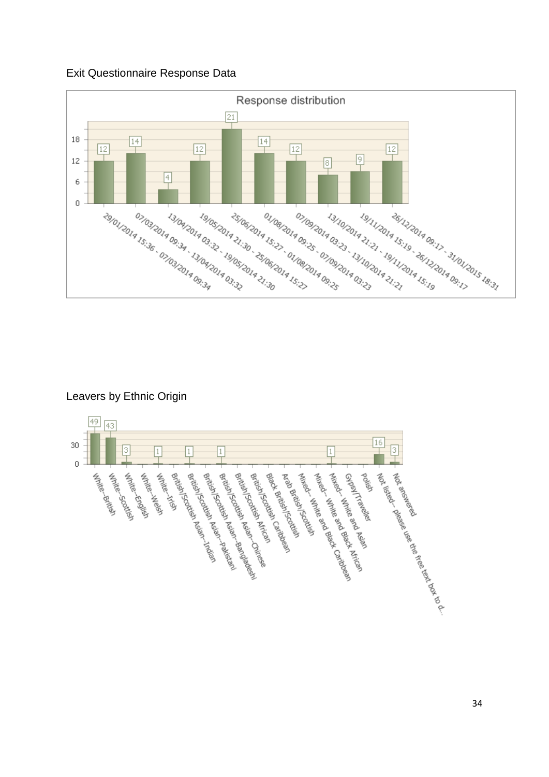#### Exit Questionnaire Response Data



### Leavers by Ethnic Origin

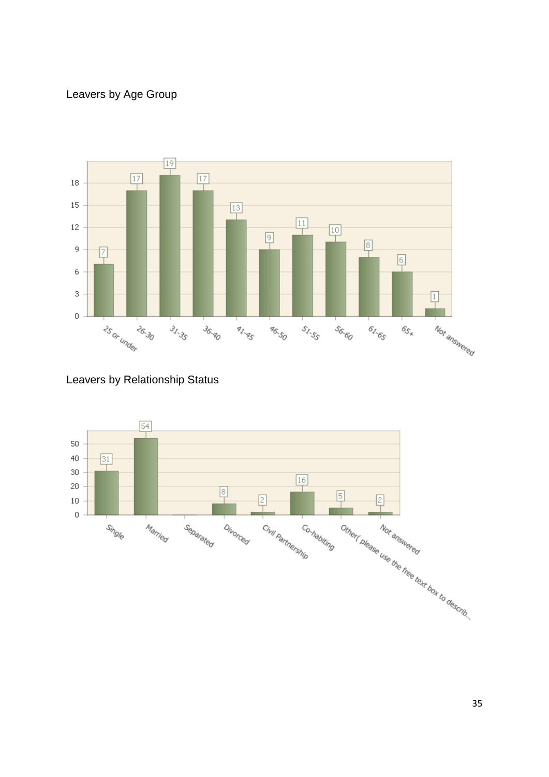# Leavers by Age Group



Leavers by Relationship Status

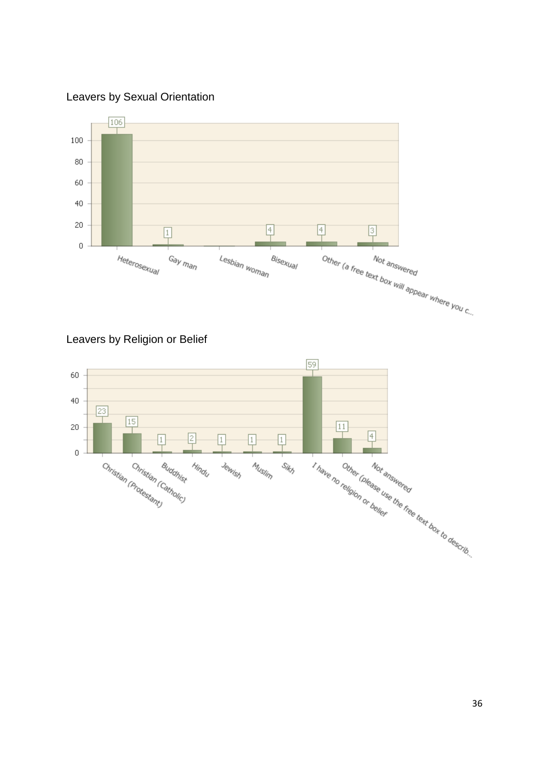Leavers by Sexual Orientation



Leavers by Religion or Belief

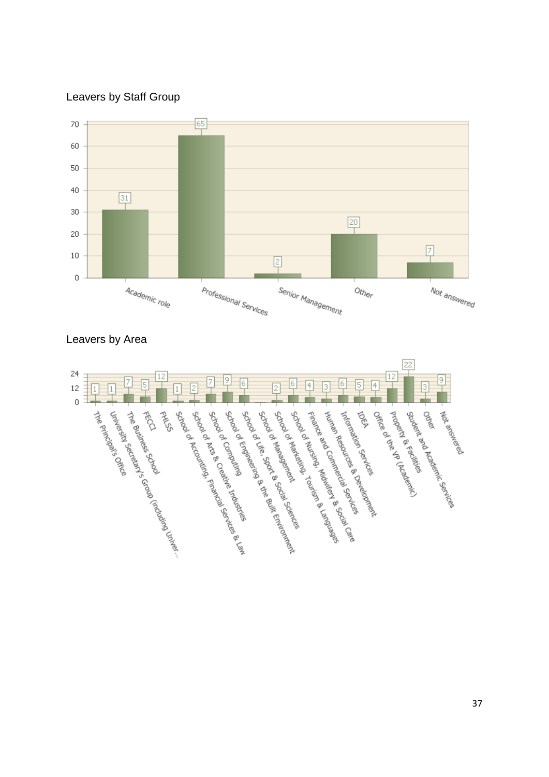Leavers by Staff Group





#### Leavers by Area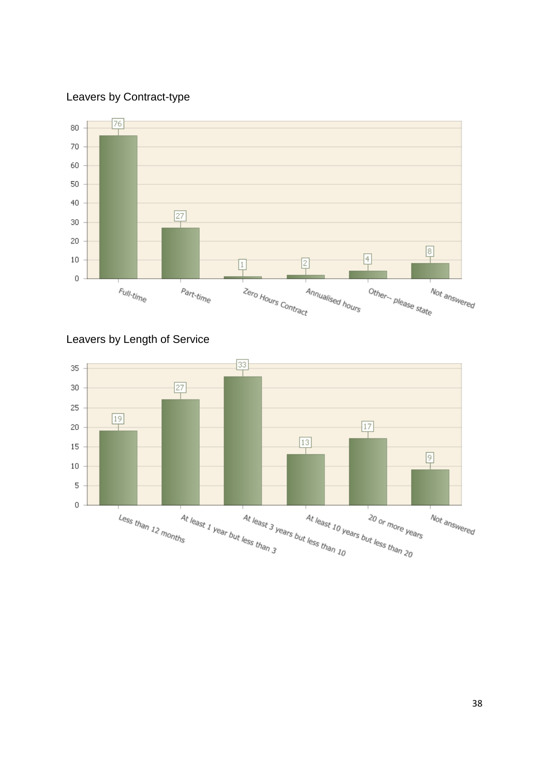### Leavers by Contract-type





### Leavers by Length of Service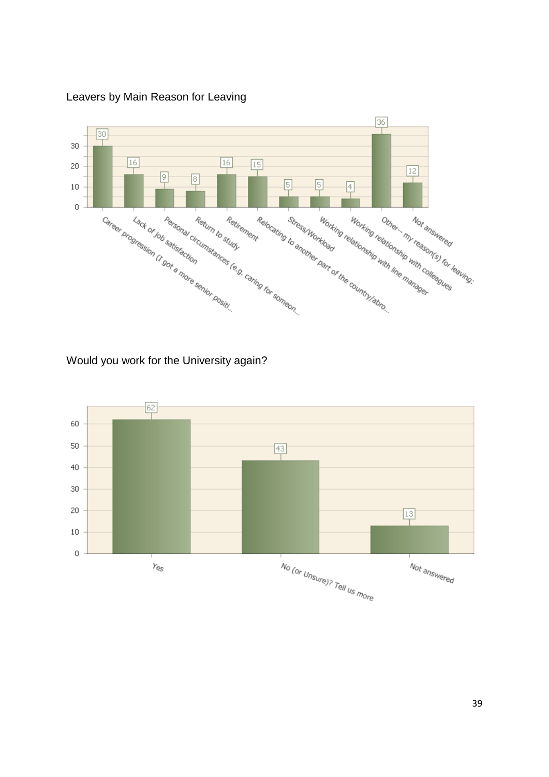

Leavers by Main Reason for Leaving

Would you work for the University again?

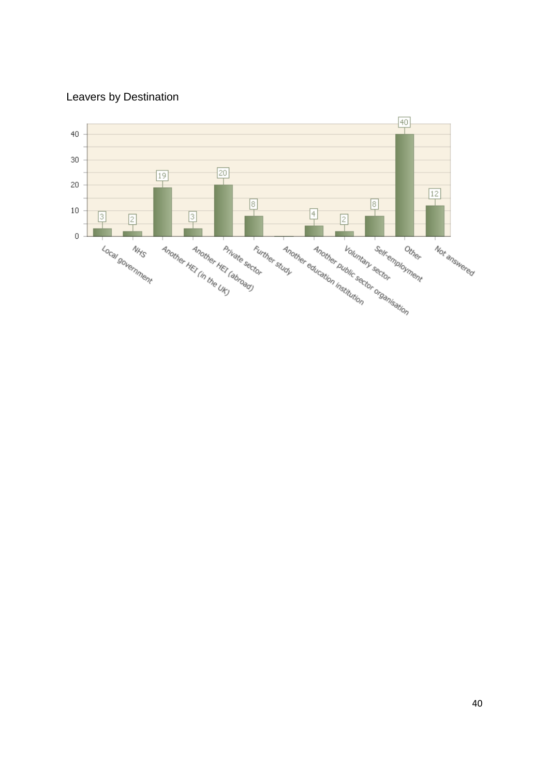# Leavers by Destination

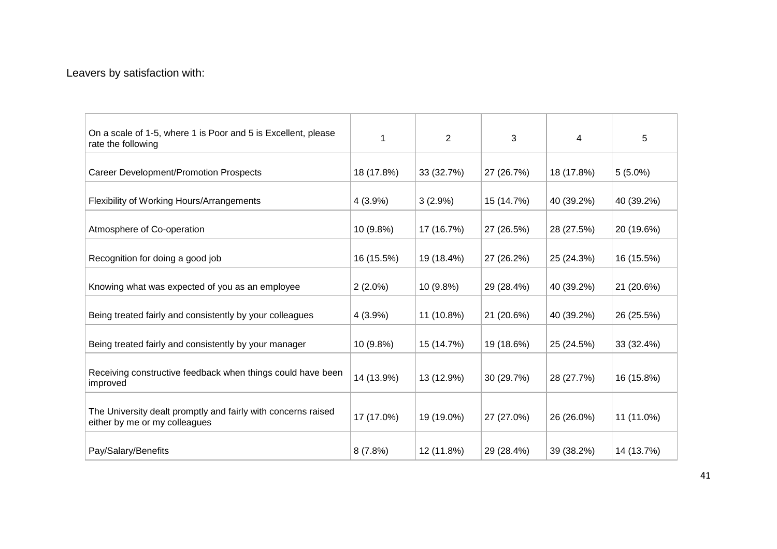### Leavers by satisfaction with:

| On a scale of 1-5, where 1 is Poor and 5 is Excellent, please<br>rate the following            | 1          | $\overline{2}$ | 3          | 4          | 5          |
|------------------------------------------------------------------------------------------------|------------|----------------|------------|------------|------------|
| Career Development/Promotion Prospects                                                         | 18 (17.8%) | 33 (32.7%)     | 27 (26.7%) | 18 (17.8%) | $5(5.0\%)$ |
| Flexibility of Working Hours/Arrangements                                                      | $4(3.9\%)$ | $3(2.9\%)$     | 15 (14.7%) | 40 (39.2%) | 40 (39.2%) |
| Atmosphere of Co-operation                                                                     | 10 (9.8%)  | 17 (16.7%)     | 27 (26.5%) | 28 (27.5%) | 20 (19.6%) |
| Recognition for doing a good job                                                               | 16 (15.5%) | 19 (18.4%)     | 27 (26.2%) | 25 (24.3%) | 16 (15.5%) |
| Knowing what was expected of you as an employee                                                | $2(2.0\%)$ | 10 (9.8%)      | 29 (28.4%) | 40 (39.2%) | 21 (20.6%) |
| Being treated fairly and consistently by your colleagues                                       | 4 (3.9%)   | 11 (10.8%)     | 21 (20.6%) | 40 (39.2%) | 26 (25.5%) |
| Being treated fairly and consistently by your manager                                          | 10 (9.8%)  | 15 (14.7%)     | 19 (18.6%) | 25 (24.5%) | 33 (32.4%) |
| Receiving constructive feedback when things could have been<br>improved                        | 14 (13.9%) | 13 (12.9%)     | 30 (29.7%) | 28 (27.7%) | 16 (15.8%) |
| The University dealt promptly and fairly with concerns raised<br>either by me or my colleagues | 17 (17.0%) | 19 (19.0%)     | 27 (27.0%) | 26 (26.0%) | 11 (11.0%) |
| Pay/Salary/Benefits                                                                            | 8(7.8%)    | 12 (11.8%)     | 29 (28.4%) | 39 (38.2%) | 14 (13.7%) |